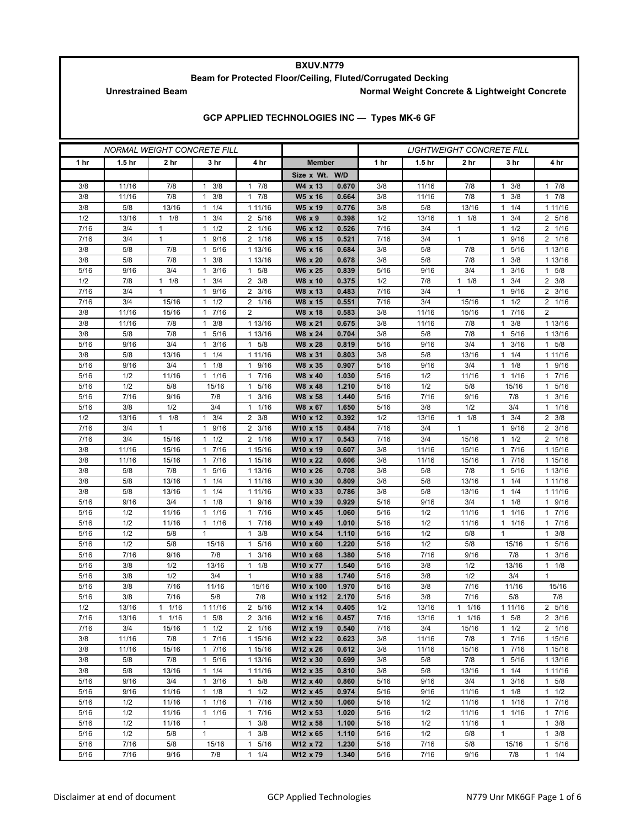## **BXUV.N779**

## **Beam for Protected Floor/Ceiling, Fluted/Corrugated Decking**

Unrestrained Beam **Normal Weight Concrete & Lightweight Concrete** 

|  | GCP APPLIED TECHNOLOGIES INC - Types MK-6 GF |  |  |
|--|----------------------------------------------|--|--|
|--|----------------------------------------------|--|--|

| <i>NORMAL WEIGHT CONCRETE FILL</i> |                   |                     |                                  |                       |                      | <b>LIGHTWEIGHT CONCRETE FILL</b> |              |                   |                       |                        |                            |
|------------------------------------|-------------------|---------------------|----------------------------------|-----------------------|----------------------|----------------------------------|--------------|-------------------|-----------------------|------------------------|----------------------------|
| 1 hr                               | 1.5 <sub>hr</sub> | 2 hr                | 3 hr                             | 4 hr                  | <b>Member</b>        |                                  | 1 hr         | 1.5 <sub>hr</sub> | 2 hr                  | 3 hr                   | 4 hr                       |
|                                    |                   |                     |                                  |                       | Size x Wt. W/D       |                                  |              |                   |                       |                        |                            |
| 3/8                                | 11/16             | 7/8                 | 3/8<br>1                         | 7/8<br>$\mathbf{1}$   | W4 x 13              | 0.670                            | 3/8          | 11/16             | 7/8                   | 3/8<br>1               | 7/8<br>1                   |
| 3/8                                | 11/16             | 7/8                 | 3/8<br>1                         | 7/8<br>$\mathbf{1}$   | W5 x 16              | 0.664                            | 3/8          | 11/16             | 7/8                   | 3/8<br>1               | 7/8<br>1                   |
| 3/8                                | 5/8               | 13/16               | 1/4<br>1                         | 1 11/16               | W5 x 19              | 0.776                            | 3/8          | 5/8               | 13/16                 | 1/4<br>1               | 1 11/16                    |
| 1/2                                | 13/16             | $1 \t1/8$           | 3/4<br>$\mathbf{1}$              | 2 5/16                | W6 x 9               | 0.398                            | 1/2          | 13/16             | $1 \t1/8$             | 3/4<br>1               | 2 5/16                     |
| 7/16                               | 3/4               | $\mathbf{1}$        | 1/2<br>1                         | 1/16<br>2             | W6 x 12              | 0.526                            | 7/16         | 3/4               | $\mathbf{1}$          | 1/2<br>1               | 2 1/16                     |
| 7/16                               | 3/4               | $\mathbf{1}$        | 9/16<br>$\mathbf{1}$             | 2 1/16                | W6 x 15              | 0.521                            | 7/16         | 3/4               | $\mathbf{1}$          | 9/16<br>1              | 2 1/16                     |
| 3/8                                | 5/8               | 7/8                 | 5/16<br>$\mathbf{1}$             | 1 13/16               | W6 x 16              | 0.684                            | 3/8          | 5/8               | 7/8                   | 5/16<br>1              | 1 13/16                    |
| 3/8                                | 5/8               | 7/8                 | 3/8<br>1                         | 1 13/16               | W6 x 20              | 0.678                            | 3/8          | 5/8               | 7/8                   | 3/8<br>1               | 1 13/16                    |
| 5/16                               | 9/16              | 3/4                 | 3/16<br>1                        | 5/8<br>$\mathbf{1}$   | W6 x 25              | 0.839                            | 5/16         | 9/16              | 3/4                   | 3/16<br>1              | $1 \t5/8$                  |
| 1/2                                | 7/8               | $1 \t1/8$           | 3/4<br>$\mathbf{1}$              | $\overline{2}$<br>3/8 | W8 x 10              | 0.375                            | 1/2          | 7/8               | $1 \t1/8$             | 3/4<br>1               | $2 \frac{3}{8}$            |
| 7/16<br>7/16                       | 3/4<br>3/4        | 1<br>15/16          | 9/16<br>1<br>1/2<br>$\mathbf{1}$ | 3/16<br>2<br>2 1/16   | W8 x 13<br>W8 x 15   | 0.483<br>0.551                   | 7/16<br>7/16 | 3/4<br>3/4        | $\mathbf{1}$<br>15/16 | 9/16<br>1<br>1/2<br>1  | $2 \frac{3}{16}$<br>2 1/16 |
| 3/8                                | 11/16             | 15/16               | 17/16                            | $\overline{2}$        | W8 x 18              | 0.583                            | 3/8          | 11/16             | 15/16                 | 7/16<br>1              | $\overline{2}$             |
| 3/8                                | 11/16             | 7/8                 | 3/8<br>1                         | 1 13/16               | W8 x 21              | 0.675                            | 3/8          | 11/16             | 7/8                   | 3/8<br>1               | 1 13/16                    |
| 3/8                                | 5/8               | 7/8                 | 5/16<br>1                        | 1 13/16               | W8 x 24              | 0.704                            | 3/8          | 5/8               | 7/8                   | 5/16<br>1              | 1 13/16                    |
| 5/16                               | 9/16              | 3/4                 | 3/16<br>1                        | 5/8<br>$\mathbf{1}$   | W8 x 28              | 0.819                            | 5/16         | 9/16              | 3/4                   | 3/16<br>1              | 1 5/8                      |
| 3/8                                | 5/8               | 13/16               | 1/4<br>1                         | 1 11/16               | W8 x 31              | 0.803                            | 3/8          | 5/8               | 13/16                 | 1/4<br>1               | 1 11/16                    |
| 5/16                               | 9/16              | 3/4                 | 1/8<br>$\mathbf{1}$              | 9/16<br>$\mathbf{1}$  | W8 x 35              | 0.907                            | 5/16         | 9/16              | 3/4                   | 1/8<br>1               | 9/16<br>1                  |
| 5/16                               | 1/2               | 11/16               | 1 1/16                           | 7/16<br>1             | W8 x 40              | 1.030                            | 5/16         | 1/2               | 11/16                 | 1/16<br>1              | 7/16<br>1                  |
| 5/16                               | 1/2               | 5/8                 | 15/16                            | 5/16<br>1             | W8 x 48              | 1.210                            | 5/16         | 1/2               | 5/8                   | 15/16                  | 5/16<br>1                  |
| 5/16                               | 7/16              | 9/16                | 7/8                              | 3/16<br>$\mathbf{1}$  | W8 x 58              | 1.440                            | 5/16         | 7/16              | 9/16                  | 7/8                    | 3/16<br>1                  |
| 5/16                               | 3/8               | 1/2                 | 3/4                              | 1/16<br>1             | W8 x 67              | 1.650                            | 5/16         | 3/8               | 1/2                   | 3/4                    | 1/16<br>1                  |
| 1/2                                | 13/16             | 1/8<br>$\mathbf{1}$ | 3/4<br>1                         | $\overline{2}$<br>3/8 | W10 x 12             | 0.392                            | 1/2          | 13/16             | $1 \t1/8$             | 3/4<br>1               | $2 \frac{3}{8}$            |
| 7/16                               | 3/4               | $\mathbf{1}$        | 9/16<br>1                        | 3/16<br>2             | W10 x 15             | 0.484                            | 7/16         | 3/4               | $\mathbf{1}$          | 9/16<br>1              | $2 \frac{3}{16}$           |
| 7/16                               | 3/4               | 15/16               | 1/2<br>1                         | 1/16<br>2             | W10 x 17             | 0.543                            | 7/16         | 3/4               | 15/16                 | 1/2<br>1               | 2 1/16                     |
| 3/8                                | 11/16             | 15/16               | 7/16<br>$\mathbf{1}$             | 1 15/16               | W10 x 19             | 0.607                            | 3/8          | 11/16             | 15/16                 | 7/16<br>1              | 1 15/16                    |
| 3/8                                | 11/16             | 15/16               | 7/16<br>$\mathbf{1}$             | 1 15/16               | W10 x 22             | 0.606                            | 3/8          | 11/16             | 15/16                 | 7/16<br>1              | 1 15/16                    |
| 3/8                                | 5/8               | 7/8                 | 5/16<br>$\mathbf{1}$             | 1 13/16               | W10 x 26             | 0.708                            | 3/8          | 5/8               | 7/8                   | 5/16<br>1              | 1 13/16                    |
| 3/8<br>3/8                         | 5/8<br>5/8        | 13/16<br>13/16      | 1/4<br>$\mathbf{1}$<br>1/4<br>1  | 1 11/16<br>1 11/16    | W10 x 30<br>W10 x 33 | 0.809<br>0.786                   | 3/8<br>3/8   | 5/8<br>5/8        | 13/16<br>13/16        | 1/4<br>1<br>1/4<br>1   | 1 11/16<br>1 11/16         |
| 5/16                               | 9/16              | 3/4                 | 1/8<br>$\mathbf{1}$              | 9/16<br>$\mathbf{1}$  | W10 x 39             | 0.929                            | 5/16         | 9/16              | 3/4                   | 1/8<br>1               | 1 9/16                     |
| 5/16                               | 1/2               | 11/16               | 11/16                            | 7/16<br>$\mathbf{1}$  | W10 x 45             | 1.060                            | 5/16         | 1/2               | 11/16                 | 1/16<br>1              | 1 7/16                     |
| 5/16                               | 1/2               | 11/16               | 1/16<br>1                        | 7/16<br>$\mathbf{1}$  | W10 x 49             | 1.010                            | 5/16         | 1/2               | 11/16                 | 1/16<br>1              | 7/16<br>1                  |
| 5/16                               | 1/2               | 5/8                 | $\mathbf{1}$                     | 3/8<br>$\mathbf{1}$   | W10 x 54             | 1.110                            | 5/16         | 1/2               | 5/8                   | 1                      | 3/8<br>1                   |
| 5/16                               | 1/2               | 5/8                 | 15/16                            | 5/16<br>$\mathbf{1}$  | W10 x 60             | 1.220                            | 5/16         | 1/2               | 5/8                   | 15/16                  | 5/16<br>$\mathbf{1}$       |
| 5/16                               | 7/16              | 9/16                | 7/8                              | 3/16<br>$\mathbf{1}$  | W10 x 68             | 1.380                            | 5/16         | 7/16              | 9/16                  | 7/8                    | 3/16<br>1                  |
| 5/16                               | 3/8               | 1/2                 | 13/16                            | 1/8<br>$\mathbf{1}$   | W10 x 77             | 1.540                            | 5/16         | 3/8               | 1/2                   | 13/16                  | $1 \t1/8$                  |
| 5/16                               | 3/8               | 1/2                 | 3/4                              | $\mathbf{1}$          | W10 x 88             | 1.740                            | 5/16         | 3/8               | 1/2                   | 3/4                    | $\mathbf{1}$               |
| 5/16                               | 3/8               | 7/16                | 11/16                            | 15/16                 | W10 x 100            | 1.970                            | 5/16         | 3/8               | 7/16                  | 11/16                  | 15/16                      |
| 5/16                               | 3/8               | 7/16                | 5/8                              | 7/8                   | W10 x 112            | 2.170                            | 5/16         | 3/8               | 7/16                  | 5/8                    | 7/8                        |
| 1/2                                | 13/16             | 1/16<br>1           | 1 11/16                          | 5/16<br>2             | W12 x 14             | 0.405                            | 1/2          | 13/16             | 1/16<br>$\mathbf{1}$  | 1 11/16                | 5/16<br>2                  |
| 7/16                               | 13/16             | $1 \t1/16$          | $1 \t5/8$                        | $2 \frac{3}{16}$      | W12 x 16             | 0.457                            | 7/16         | 13/16             | $1 \t1/16$            | 5/8<br>$\mathbf{1}$    | $2 \frac{3}{16}$           |
| 7/16                               | 3/4               | 15/16               | 1/2<br>$\mathbf{1}$              | 2 1/16                | W12 x 19             | 0.540                            | 7/16         | 3/4               | 15/16                 | 1/2<br>1               | 2 1/16                     |
| 3/8<br>3/8                         | 11/16<br>11/16    | 7/8                 | 7/16<br>$\mathbf{1}$<br>7/16     | 1 15/16<br>1 15/16    | W12 x 22<br>W12 x 26 | 0.623<br>0.612                   | 3/8<br>3/8   | 11/16             | 7/8                   | 7/16<br>1<br>7/16<br>1 | 1 15/16                    |
| 3/8                                | 5/8               | 15/16<br>7/8        | 1<br>5/16<br>$\mathbf{1}$        | 1 13/16               | W12 x 30             | 0.699                            | 3/8          | 11/16<br>5/8      | 15/16<br>7/8          | 5/16<br>1              | 1 15/16<br>1 13/16         |
| 3/8                                | 5/8               | 13/16               | 1/4<br>$\mathbf{1}$              | 1 11/16               | W12 x 35             | 0.810                            | 3/8          | 5/8               | 13/16                 | 1/4<br>$\mathbf{1}$    | 1 11/16                    |
| 5/16                               | 9/16              | 3/4                 | 3/16<br>$\mathbf{1}$             | 5/8<br>$\mathbf{1}$   | W12 x 40             | 0.860                            | 5/16         | 9/16              | 3/4                   | 3/16<br>1              | 5/8<br>$\mathbf{1}$        |
| 5/16                               | 9/16              | 11/16               | 1/8<br>$\mathbf{1}$              | $\mathbf{1}$<br>1/2   | W12 x 45             | 0.974                            | 5/16         | 9/16              | 11/16                 | 1/8<br>$\mathbf{1}$    | $\mathbf{1}$<br>1/2        |
| 5/16                               | 1/2               | 11/16               | 1/16<br>1                        | 7/16<br>$\mathbf{1}$  | W12 x 50             | 1.060                            | 5/16         | 1/2               | 11/16                 | 1/16<br>1              | 7/16<br>$\mathbf{1}$       |
| 5/16                               | 1/2               | 11/16               | $1 \t1/16$                       | 7/16<br>1             | W12 x 53             | 1.020                            | 5/16         | 1/2               | 11/16                 | 1/16<br>1              | 7/16<br>1                  |
| 5/16                               | 1/2               | 11/16               | $\mathbf{1}$                     | $\mathbf{1}$<br>3/8   | W12 x 58             | 1.100                            | 5/16         | 1/2               | 11/16                 | $\mathbf{1}$           | 3/8<br>1                   |
| 5/16                               | 1/2               | 5/8                 | 1                                | $\mathbf{1}$<br>3/8   | W12 x 65             | 1.110                            | 5/16         | 1/2               | 5/8                   | 1                      | $1 \t3/8$                  |
| 5/16                               | 7/16              | 5/8                 | 15/16                            | 5/16<br>$\mathbf{1}$  | W12 x 72             | 1.230                            | 5/16         | 7/16              | 5/8                   | 15/16                  | 5/16<br>1                  |
| 5/16                               | 7/16              | 9/16                | 7/8                              | 1/4<br>$\mathbf{1}$   | W12 x 79             | 1.340                            | 5/16         | 7/16              | 9/16                  | 7/8                    | $1 \t1/4$                  |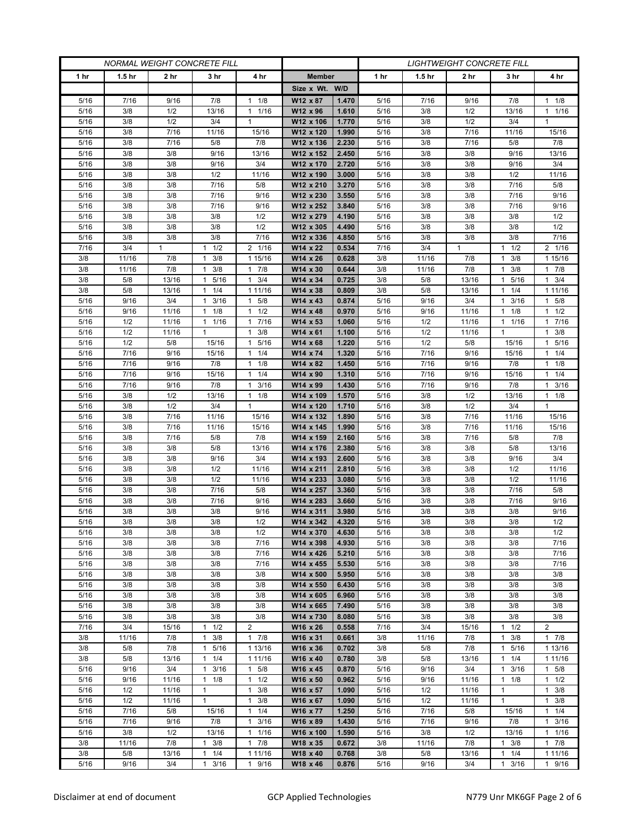| <b>NORMAL WEIGHT CONCRETE FILL</b> |                   |                     |                       |                                 | <b>LIGHTWEIGHT CONCRETE FILL</b> |                |              |                   |                     |                       |                  |
|------------------------------------|-------------------|---------------------|-----------------------|---------------------------------|----------------------------------|----------------|--------------|-------------------|---------------------|-----------------------|------------------|
| 1 <sub>hr</sub>                    | 1.5 <sub>hr</sub> | 2 hr                | 3 hr                  | 4 hr                            | <b>Member</b>                    |                | 1 hr         | 1.5 <sub>hr</sub> | 2 hr                | 3 hr                  | 4 hr             |
|                                    |                   |                     |                       |                                 | Size x Wt. W/D                   |                |              |                   |                     |                       |                  |
| 5/16                               | 7/16              | 9/16                | 7/8                   | 1/8<br>$\mathbf{1}$             | W12 x 87                         | 1.470          | 5/16         | 7/16              | 9/16                | 7/8                   | $1 \t1/8$        |
| 5/16                               | 3/8               | 1/2                 | 13/16                 | 1/16<br>$\mathbf{1}$            | W12 x 96                         | 1.610          | 5/16         | 3/8               | 1/2                 | 13/16                 | 11/16            |
| 5/16                               | 3/8               | 1/2                 | 3/4                   | $\mathbf{1}$                    | W12 x 106                        | 1.770          | 5/16         | 3/8               | 1/2                 | 3/4                   | $\mathbf{1}$     |
| 5/16                               | 3/8               | 7/16                | 11/16                 | 15/16                           | W12 x 120                        | 1.990          | 5/16         | 3/8               | 7/16                | 11/16                 | 15/16            |
| 5/16                               | 3/8               | 7/16                | 5/8                   | 7/8                             | W12 x 136                        | 2.230          | 5/16         | 3/8               | 7/16                | 5/8                   | 7/8              |
| 5/16                               | 3/8               | 3/8                 | 9/16                  | 13/16                           | W12 x 152                        | 2.450          | 5/16         | 3/8               | 3/8                 | 9/16                  | 13/16            |
| 5/16                               | 3/8               | 3/8                 | 9/16                  | 3/4                             | W12 x 170                        | 2.720          | 5/16         | 3/8               | 3/8                 | 9/16                  | 3/4              |
| 5/16                               | 3/8               | 3/8                 | 1/2                   | 11/16                           | W12 x 190                        | 3.000          | 5/16         | 3/8               | 3/8                 | 1/2                   | 11/16            |
| 5/16                               | 3/8               | 3/8                 | 7/16                  | 5/8                             | W12 x 210                        | 3.270          | 5/16         | 3/8               | 3/8                 | 7/16                  | 5/8              |
| 5/16                               | 3/8               | 3/8                 | 7/16                  | 9/16                            | W12 x 230                        | 3.550          | 5/16         | 3/8               | 3/8                 | 7/16                  | 9/16             |
| 5/16                               | 3/8               | 3/8                 | 7/16                  | 9/16                            | W12 x 252                        | 3.840          | 5/16         | 3/8               | 3/8                 | 7/16                  | 9/16             |
| 5/16                               | 3/8               | 3/8                 | 3/8                   | 1/2                             | W12 x 279                        | 4.190          | 5/16         | 3/8               | 3/8                 | 3/8                   | 1/2              |
| 5/16                               | 3/8               | 3/8                 | 3/8                   | 1/2                             | W12 x 305                        | 4.490          | 5/16         | 3/8               | 3/8                 | 3/8                   | 1/2              |
| 5/16<br>7/16                       | 3/8<br>3/4        | 3/8<br>$\mathbf{1}$ | 3/8<br>1/2<br>1       | 7/16<br>2 1/16                  | W12 x 336<br>W14 x 22            | 4.850<br>0.534 | 5/16<br>7/16 | 3/8<br>3/4        | 3/8<br>$\mathbf{1}$ | 3/8<br>1/2<br>1       | 7/16<br>2 1/16   |
| 3/8                                | 11/16             | 7/8                 | 3/8<br>1              | 1 15/16                         | W14 x 26                         | 0.628          | 3/8          | 11/16             | 7/8                 | 3/8<br>1              | 1 15/16          |
| 3/8                                | 11/16             | 7/8                 | 3/8<br>1              | 7/8<br>1                        | W14 x 30                         | 0.644          | 3/8          | 11/16             | 7/8                 | 3/8<br>1              | 17/8             |
| 3/8                                | 5/8               | 13/16               | 1 5/16                | 3/4<br>$\mathbf{1}$             | W14 x 34                         | 0.725          | 3/8          | 5/8               | 13/16               | 5/16<br>1             | $1 \t3/4$        |
| 3/8                                | 5/8               | 13/16               | $1 \t1/4$             | 1 1 1 / 1 6                     | W14 x 38                         | 0.809          | 3/8          | 5/8               | 13/16               | 1/4<br>1              | 1 11/16          |
| 5/16                               | 9/16              | 3/4                 | 3/16<br>1             | 5/8<br>$\mathbf{1}$             | W14 x 43                         | 0.874          | 5/16         | 9/16              | 3/4                 | 3/16<br>1             | 1 5/8            |
| 5/16                               | 9/16              | 11/16               | $1 \t1/8$             | 1/2<br>$\mathbf{1}$             | W14 x 48                         | 0.970          | 5/16         | 9/16              | 11/16               | 1/8<br>1              | $1 \t1/2$        |
| 5/16                               | 1/2               | 11/16               | 1 1/16                | 7/16<br>1                       | W14 x 53                         | 1.060          | 5/16         | 1/2               | 11/16               | 1 1/16                | 17/16            |
| 5/16                               | 1/2               | 11/16               | $\mathbf{1}$          | 3/8<br>$\mathbf{1}$             | W14 x 61                         | 1.100          | 5/16         | 1/2               | 11/16               | 1                     | 3/8<br>1         |
| 5/16                               | 1/2               | 5/8                 | 15/16                 | 5/16<br>1                       | W14 x 68                         | 1.220          | 5/16         | 1/2               | 5/8                 | 15/16                 | 1 5/16           |
| 5/16                               | 7/16              | 9/16                | 15/16                 | 1/4<br>1                        | W14 x 74                         | 1.320          | 5/16         | 7/16              | 9/16                | 15/16                 | $1 \t1/4$        |
| 5/16                               | 7/16              | 9/16                | 7/8                   | 1/8<br>1                        | W14 x 82                         | 1.450          | 5/16         | 7/16              | 9/16                | 7/8                   | $1 \t1/8$        |
| 5/16                               | 7/16              | 9/16                | 15/16                 | 1/4<br>$\mathbf{1}$             | W14 x 90                         | 1.310          | 5/16         | 7/16              | 9/16                | 15/16                 | $1 \t1/4$        |
| 5/16                               | 7/16              | 9/16                | 7/8                   | 3/16<br>$\mathbf{1}$            | W14 x 99                         | 1.430          | 5/16         | 7/16              | 9/16                | 7/8                   | $1 \t3/16$       |
| 5/16                               | 3/8               | 1/2                 | 13/16                 | 1/8<br>$\mathbf{1}$             | W14 x 109                        | 1.570          | 5/16         | 3/8               | 1/2                 | 13/16                 | $1 \t1/8$        |
| 5/16                               | 3/8               | 1/2                 | 3/4                   | $\mathbf{1}$                    | W14 x 120                        | 1.710          | 5/16         | 3/8               | 1/2                 | 3/4                   | $\mathbf{1}$     |
| 5/16                               | 3/8               | 7/16                | 11/16                 | 15/16                           | W14 x 132                        | 1.890          | 5/16         | 3/8               | 7/16                | 11/16                 | 15/16            |
| 5/16                               | 3/8               | 7/16                | 11/16                 | 15/16                           | W14 x 145                        | 1.990          | 5/16         | 3/8               | 7/16                | 11/16                 | 15/16            |
| 5/16                               | 3/8               | 7/16                | 5/8                   | 7/8                             | W14 x 159                        | 2.160          | 5/16         | 3/8               | 7/16                | 5/8                   | 7/8              |
| 5/16                               | 3/8               | 3/8                 | 5/8                   | 13/16                           | W14 x 176                        | 2.380          | 5/16         | 3/8               | 3/8                 | 5/8                   | 13/16            |
| 5/16                               | 3/8               | 3/8                 | 9/16                  | 3/4                             | W14 x 193                        | 2.600          | 5/16         | 3/8               | 3/8                 | 9/16                  | 3/4              |
| 5/16<br>5/16                       | 3/8<br>3/8        | 3/8<br>3/8          | 1/2<br>1/2            | 11/16<br>11/16                  | W14 x 211<br>W14 x 233           | 2.810<br>3.080 | 5/16<br>5/16 | 3/8<br>3/8        | 3/8<br>3/8          | 1/2<br>1/2            | 11/16<br>11/16   |
| 5/16                               | 3/8               | 3/8                 | 7/16                  | 5/8                             | W14 x 257                        | 3.360          | 5/16         | 3/8               | 3/8                 | 7/16                  | 5/8              |
| 5/16                               | 3/8               | 3/8                 | 7/16                  | 9/16                            | W14 x 283                        | 3.660          | 5/16         | 3/8               | 3/8                 | 7/16                  | 9/16             |
| 5/16                               | 3/8               | 3/8                 | 3/8                   | 9/16                            | W14 x 311                        | 3.980          | 5/16         | 3/8               | 3/8                 | 3/8                   | 9/16             |
| 5/16                               | 3/8               | 3/8                 | 3/8                   | 1/2                             | W14 x 342                        | 4.320          | 5/16         | 3/8               | 3/8                 | 3/8                   | 1/2              |
| 5/16                               | 3/8               | 3/8                 | 3/8                   | 1/2                             | W14 x 370                        | 4.630          | 5/16         | 3/8               | 3/8                 | 3/8                   | 1/2              |
| 5/16                               | 3/8               | 3/8                 | 3/8                   | 7/16                            | W14 x 398                        | 4.930          | 5/16         | 3/8               | 3/8                 | 3/8                   | 7/16             |
| 5/16                               | 3/8               | 3/8                 | 3/8                   | 7/16                            | W14 x 426                        | 5.210          | 5/16         | 3/8               | 3/8                 | 3/8                   | 7/16             |
| 5/16                               | 3/8               | 3/8                 | 3/8                   | 7/16                            | W14 x 455                        | 5.530          | 5/16         | 3/8               | 3/8                 | 3/8                   | 7/16             |
| 5/16                               | 3/8               | 3/8                 | 3/8                   | 3/8                             | W14 x 500                        | 5.950          | 5/16         | 3/8               | 3/8                 | 3/8                   | 3/8              |
| 5/16                               | 3/8               | 3/8                 | 3/8                   | 3/8                             | W14 x 550                        | 6.430          | 5/16         | 3/8               | 3/8                 | 3/8                   | 3/8              |
| 5/16                               | 3/8               | 3/8                 | 3/8                   | 3/8                             | W14 x 605                        | 6.960          | 5/16         | 3/8               | 3/8                 | 3/8                   | 3/8              |
| 5/16                               | 3/8               | 3/8                 | 3/8                   | 3/8                             | W14 x 665                        | 7.490          | 5/16         | 3/8               | 3/8                 | 3/8                   | 3/8              |
| 5/16                               | 3/8               | 3/8                 | 3/8                   | 3/8                             | W14 x 730                        | 8.080          | 5/16         | 3/8               | 3/8                 | 3/8                   | 3/8              |
| 7/16                               | 3/4               | 15/16               | 1/2<br>1              | $\overline{2}$                  | W16 x 26                         | 0.558          | 7/16         | 3/4               | 15/16               | 1/2<br>1              | $\overline{2}$   |
| 3/8                                | 11/16             | 7/8                 | $\mathbf{1}$<br>3/8   | $\mathbf{1}$<br>7/8             | W16 x 31                         | 0.661          | 3/8          | 11/16             | 7/8                 | 3/8<br>$\mathbf{1}$   | 17/8             |
| 3/8                                | 5/8               | 7/8                 | 1 5/16                | 1 13/16                         | W16 x 36                         | 0.702          | 3/8          | 5/8               | 7/8                 | 5/16<br>$\mathbf{1}$  | 1 13/16          |
| 3/8<br>5/16                        | 5/8<br>9/16       | 13/16<br>3/4        | 1/4<br>1<br>3/16<br>1 | 1 1 1/16<br>5/8<br>$\mathbf{1}$ | W16 x 40<br>W16 x 45             | 0.780<br>0.870 | 3/8          | 5/8<br>9/16       | 13/16<br>3/4        | 1/4<br>1<br>3/16<br>1 | 1 11/16<br>1 5/8 |
| 5/16                               | 9/16              | 11/16               | $1 \t1/8$             | $\mathbf{1}$<br>1/2             | W16 x 50                         | 0.962          | 5/16<br>5/16 | 9/16              | 11/16               | $1 \t1/8$             | $1 \t1/2$        |
| 5/16                               | 1/2               | 11/16               | $\mathbf{1}$          | 3/8<br>1                        | W16 x 57                         | 1.090          | 5/16         | 1/2               | 11/16               | $\mathbf{1}$          | $1 \t3/8$        |
| 5/16                               | 1/2               | 11/16               | $\mathbf{1}$          | $\mathbf{1}$<br>3/8             | W16 x 67                         | 1.090          | 5/16         | 1/2               | 11/16               | $\mathbf{1}$          | $1 \t3/8$        |
| 5/16                               | 7/16              | 5/8                 | 15/16                 | 1/4<br>$\mathbf{1}$             | W16 x 77                         | 1.250          | 5/16         | 7/16              | 5/8                 | 15/16                 | 11/4             |
| 5/16                               | 7/16              | 9/16                | 7/8                   | 3/16<br>$\mathbf{1}$            | W16 x 89                         | 1.430          | 5/16         | 7/16              | 9/16                | 7/8                   | $1 \t3/16$       |
| 5/16                               | 3/8               | 1/2                 | 13/16                 | 1/16<br>$\mathbf{1}$            | W16 x 100                        | 1.590          | 5/16         | 3/8               | 1/2                 | 13/16                 | 11/16            |
| 3/8                                | 11/16             | 7/8                 | 3/8<br>1              | $\mathbf{1}$<br>7/8             | W18 x 35                         | 0.672          | 3/8          | 11/16             | 7/8                 | 3/8<br>$\mathbf{1}$   | 17/8             |
| 3/8                                | 5/8               | 13/16               | 1/4<br>$\mathbf{1}$   | 1 1 1/16                        | W18 x 40                         | 0.768          | 3/8          | 5/8               | 13/16               | 1/4<br>1              | 1 11/16          |
| $5/16$                             | 9/16              | 3/4                 | 3/16<br>$\mathbf{1}$  | 9/16<br>$\mathbf{1}$            | W18 x 46                         | 0.876          | 5/16         | 9/16              | 3/4                 | $\mathbf{1}$<br>3/16  | 1 9/16           |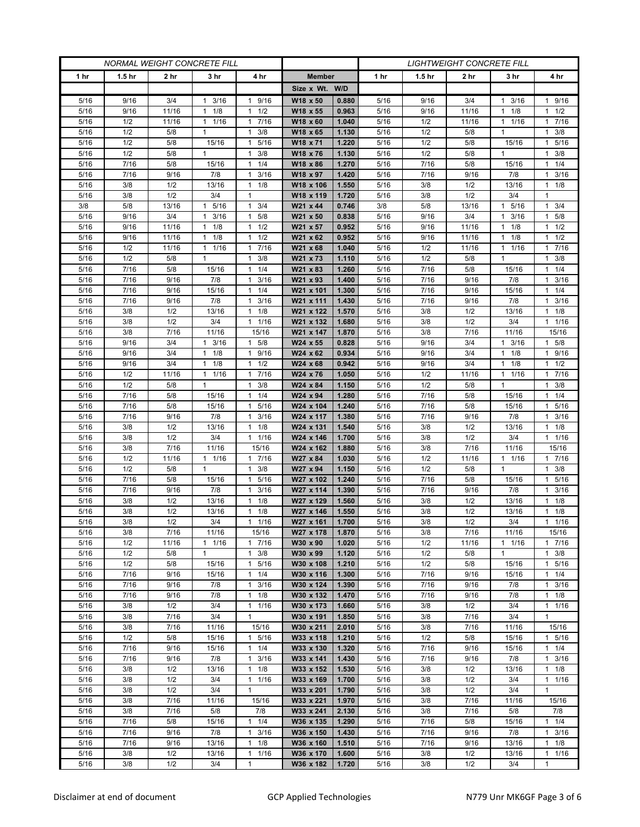| <b>NORMAL WEIGHT CONCRETE FILL</b> |                   |              |                      |                                             |                        | <b>LIGHTWEIGHT CONCRETE FILL</b> |              |                   |              |                      |                           |
|------------------------------------|-------------------|--------------|----------------------|---------------------------------------------|------------------------|----------------------------------|--------------|-------------------|--------------|----------------------|---------------------------|
| 1 <sub>hr</sub>                    | 1.5 <sub>hr</sub> | 2 hr         | 3 hr                 | 4 hr                                        | <b>Member</b>          |                                  | 1 hr         | 1.5 <sub>hr</sub> | 2 hr         | 3 hr                 | 4 hr                      |
|                                    |                   |              |                      |                                             | Size x Wt. W/D         |                                  |              |                   |              |                      |                           |
| 5/16                               | 9/16              | 3/4          | 3/16<br>1            | 9/16<br>1                                   | W18 x 50               | 0.880                            | 5/16         | 9/16              | 3/4          | 3/16<br>1            | 1 9/16                    |
| 5/16                               | 9/16              | 11/16        | $1 \t1/8$            | 1/2<br>$\mathbf{1}$                         | W18 x 55               | 0.963                            | 5/16         | 9/16              | 11/16        | 1/8<br>1             | $1 \t1/2$                 |
| 5/16                               | 1/2               | 11/16        | 11/16                | 7/16<br>1                                   | W18 x 60               | 1.040                            | 5/16         | 1/2               | 11/16        | 1 1/16               | 17/16                     |
| 5/16                               | 1/2               | 5/8          | $\mathbf{1}$         | 3/8<br>$\mathbf{1}$                         | W18 x 65               | 1.130                            | 5/16         | 1/2               | 5/8          | 1                    | $1 \t3/8$                 |
| 5/16                               | 1/2               | 5/8          | 15/16                | $\mathbf{1}$<br>5/16                        | W18 x 71               | 1.220                            | 5/16         | 1/2               | 5/8          | 15/16                | 5/16<br>$\mathbf{1}$      |
| 5/16                               | 1/2               | 5/8          | 1                    | $\mathbf{1}$<br>3/8                         | W18 x 76               | 1.130                            | 5/16         | 1/2               | 5/8          | $\mathbf{1}$         | $\mathbf{1}$<br>3/8       |
| 5/16                               | 7/16              | 5/8          | 15/16                | 1/4<br>$\mathbf{1}$                         | W18 x 86               | 1.270                            | 5/16         | 7/16              | 5/8          | 15/16                | $1 \t1/4$                 |
| 5/16                               | 7/16<br>3/8       | 9/16<br>1/2  | 7/8                  | 3/16<br>1<br>1/8<br>$\mathbf{1}$            | W18 x 97<br>W18 x 106  | 1.420                            | 5/16         | 7/16              | 9/16<br>1/2  | 7/8                  | 3/16<br>1                 |
| 5/16<br>5/16                       | 3/8               | 1/2          | 13/16<br>3/4         | $\mathbf{1}$                                | W18 x 119              | 1.550<br>1.720                   | 5/16<br>5/16 | 3/8<br>3/8        | 1/2          | 13/16<br>3/4         | $1 \t1/8$<br>$\mathbf{1}$ |
| 3/8                                | 5/8               | 13/16        | 5/16<br>-1           | 3/4<br>1                                    | W21 x 44               | 0.746                            | 3/8          | 5/8               | 13/16        | 5/16<br>$\mathbf{1}$ | $1 \t3/4$                 |
| 5/16                               | 9/16              | 3/4          | 3/16<br>1            | 5/8<br>1                                    | W21 x 50               | 0.838                            | 5/16         | 9/16              | 3/4          | 3/16                 | $1 \t5/8$                 |
| 5/16                               | 9/16              | 11/16        | 1/8<br>1             | 1/2<br>$\mathbf{1}$                         | W21 x 57               | 0.952                            | 5/16         | 9/16              | 11/16        | 1/8<br>1             | $1 \t1/2$                 |
| 5/16                               | 9/16              | 11/16        | $1 \t1/8$            | 1/2<br>1                                    | W21 x 62               | 0.952                            | 5/16         | 9/16              | 11/16        | 1/8<br>1             | $1 \t1/2$                 |
| 5/16                               | 1/2               | 11/16        | 11/16                | 7/16<br>$\mathbf{1}$                        | W21 x 68               | 1.040                            | 5/16         | 1/2               | 11/16        | 1/16<br>1            | 17/16                     |
| 5/16                               | 1/2               | 5/8          | $\mathbf{1}$         | 3/8<br>$\mathbf{1}$                         | W21 x 73               | 1.110                            | 5/16         | 1/2               | 5/8          | 1                    | $1 \t3/8$                 |
| 5/16                               | 7/16              | 5/8          | 15/16                | 1/4<br>$\mathbf{1}$                         | W21 x 83               | 1.260                            | 5/16         | 7/16              | 5/8          | 15/16                | 11/4                      |
| 5/16                               | 7/16              | 9/16         | 7/8                  | 3/16<br>$\mathbf{1}$                        | W21 x 93               | 1.400                            | 5/16         | 7/16              | 9/16         | 7/8                  | $1 \t3/16$                |
| 5/16                               | 7/16              | 9/16         | 15/16                | 1/4<br>1                                    | W21 x 101              | 1.300                            | 5/16         | 7/16              | 9/16         | 15/16                | $1 \t1/4$                 |
| 5/16                               | 7/16              | 9/16         | 7/8                  | 3/16<br>$\mathbf{1}$                        | W21 x 111              | 1.430                            | 5/16         | 7/16              | 9/16         | 7/8                  | 3/16<br>$\mathbf{1}$      |
| 5/16                               | 3/8               | 1/2          | 13/16                | 1/8<br>$\mathbf{1}$                         | W21 x 122              | 1.570                            | 5/16         | 3/8               | 1/2          | 13/16                | $1 \t1/8$                 |
| 5/16                               | 3/8               | 1/2          | 3/4                  | 1/16<br>$\mathbf{1}$                        | W21 x 132              | 1.680                            | 5/16         | 3/8               | 1/2          | 3/4                  | $1 \t1/16$                |
| 5/16                               | 3/8               | 7/16         | 11/16                | 15/16                                       | W21 x 147              | 1.870                            | 5/16         | 3/8               | 7/16         | 11/16                | 15/16                     |
| 5/16                               | 9/16              | 3/4          | 3/16<br>$\mathbf{1}$ | 5/8<br>$\mathbf{1}$                         | W24 x 55               | 0.828                            | 5/16         | 9/16              | 3/4          | 3/16<br>$\mathbf{1}$ | 1 5/8                     |
| 5/16                               | 9/16              | 3/4          | $1 \t1/8$            | 9/16<br>1                                   | W24 x 62               | 0.934                            | 5/16         | 9/16              | 3/4          | $1 \t1/8$            | 1 9/16                    |
| 5/16                               | 9/16              | 3/4          | 1/8<br>1             | 1/2<br>$\mathbf{1}$                         | W24 x 68               | 0.942                            | 5/16         | 9/16              | 3/4          | 1/8<br>1             | $1 \t1/2$                 |
| 5/16                               | 1/2               | 11/16        | 11/16                | 7/16<br>$\mathbf{1}$                        | W24 x 76               | 1.050                            | 5/16         | 1/2               | 11/16        | 1/16<br>$\mathbf{1}$ | 17/16                     |
| 5/16                               | 1/2               | 5/8          | $\mathbf{1}$         | 3/8<br>$\mathbf{1}$                         | W24 x 84               | 1.150                            | 5/16         | 1/2               | 5/8          | $\mathbf{1}$         | $1 \t3/8$                 |
| 5/16<br>5/16                       | 7/16<br>7/16      | 5/8<br>5/8   | 15/16<br>15/16       | 1/4<br>$\mathbf{1}$<br>$\mathbf{1}$<br>5/16 | W24 x 94<br>W24 x 104  | 1.280<br>1.240                   | 5/16<br>5/16 | 7/16<br>7/16      | 5/8<br>5/8   | 15/16<br>15/16       | $1 \t1/4$<br>1 5/16       |
| 5/16                               | 7/16              | 9/16         | 7/8                  | 3/16<br>$\mathbf{1}$                        | W24 x 117              | 1.380                            | 5/16         | 7/16              | 9/16         | 7/8                  | $1 \t3/16$                |
| 5/16                               | 3/8               | 1/2          | 13/16                | 1/8<br>$\mathbf{1}$                         | W24 x 131              | 1.540                            | 5/16         | 3/8               | 1/2          | 13/16                | $1 \t1/8$                 |
| 5/16                               | 3/8               | 1/2          | 3/4                  | 1/16<br>1                                   | W24 x 146              | 1.700                            | 5/16         | 3/8               | 1/2          | 3/4                  | 11/16                     |
| 5/16                               | 3/8               | 7/16         | 11/16                | 15/16                                       | W24 x 162              | 1.880                            | 5/16         | 3/8               | 7/16         | 11/16                | 15/16                     |
| 5/16                               | 1/2               | 11/16        | $\mathbf{1}$<br>1/16 | 7/16<br>1                                   | W27 x 84               | 1.030                            | 5/16         | 1/2               | 11/16        | 1/16<br>$\mathbf{1}$ | $1 \t 7/16$               |
| 5/16                               | 1/2               | 5/8          | $\mathbf{1}$         | 3/8<br>1                                    | W27 x 94               | 1.150                            | 5/16         | 1/2               | 5/8          | $\mathbf{1}$         | $1 \t3/8$                 |
| 5/16                               | 7/16              | 5/8          | 15/16                | $\mathbf{1}$<br>5/16                        | W27 x 102              | 1.240                            | 5/16         | 7/16              | 5/8          | 15/16                | 5/16<br>$\mathbf{1}$      |
| 5/16                               | 7/16              | 9/16         | 7/8                  | 3/16<br>$\mathbf{1}$                        | W27 x 114              | 1.390                            | 5/16         | 7/16              | 9/16         | 7/8                  | 3/16<br>1                 |
| 5/16                               | 3/8               | 1/2          | 13/16                | 1/8<br>$\mathbf{1}$                         | W27 x 129              | 1.560                            | 5/16         | 3/8               | 1/2          | 13/16                | $1 \t1/8$                 |
| 5/16                               | 3/8               | 1/2          | 13/16                | 1/8<br>1                                    | W27 x 146              | 1.550                            | 5/16         | 3/8               | 1/2          | 13/16                | $1 \t1/8$                 |
| 5/16                               | 3/8               | 1/2          | 3/4                  | 1/16<br>$\mathbf{1}$                        | W27 x 161              | 1.700                            | 5/16         | 3/8               | 1/2          | 3/4                  | 11/16                     |
| 5/16                               | 3/8               | 7/16         | 11/16                | 15/16                                       | W27 x 178              | 1.870                            | 5/16         | 3/8               | 7/16         | 11/16                | 15/16                     |
| 5/16                               | 1/2               | 11/16        | $1 \t1/16$           | 17/16                                       | W30 x 90               | 1.020                            | 5/16         | 1/2               | 11/16        | $1 \t1/16$           | 17/16                     |
| 5/16                               | 1/2               | 5/8          | 1                    | 3/8<br>$\mathbf{1}$                         | W30 x 99               | 1.120                            | 5/16         | 1/2               | 5/8          | 1                    | $1 \t3/8$                 |
| 5/16                               | 1/2               | 5/8          | 15/16                | 5/16<br>$\mathbf{1}$                        | W30 x 108              | 1.210                            | 5/16         | 1/2               | 5/8          | 15/16                | 1 5/16                    |
| 5/16<br>5/16                       | 7/16<br>7/16      | 9/16<br>9/16 | 15/16<br>7/8         | 1/4<br>$\mathbf{1}$<br>3/16<br>$\mathbf{1}$ | W30 x 116<br>W30 x 124 | 1.300<br>1.390                   | 5/16<br>5/16 | 7/16<br>7/16      | 9/16<br>9/16 | 15/16<br>7/8         | $1 \t1/4$<br>$1 \t3/16$   |
| 5/16                               | 7/16              | 9/16         | 7/8                  | 1/8<br>$\mathbf{1}$                         | W30 x 132              | 1.470                            | 5/16         | 7/16              | 9/16         | 7/8                  | $1 \t1/8$                 |
| 5/16                               | 3/8               | 1/2          | 3/4                  | 1/16<br>$\mathbf{1}$                        | W30 x 173              | 1.660                            | 5/16         | 3/8               | 1/2          | 3/4                  | 11/16                     |
| 5/16                               | 3/8               | 7/16         | 3/4                  | $\mathbf{1}$                                | W30 x 191              | 1.850                            | 5/16         | 3/8               | 7/16         | 3/4                  | $\mathbf{1}$              |
| 5/16                               | 3/8               | 7/16         | 11/16                | 15/16                                       | W30 x 211              | 2.010                            | 5/16         | 3/8               | 7/16         | 11/16                | 15/16                     |
| 5/16                               | 1/2               | 5/8          | 15/16                | 1 5/16                                      | W33 x 118              | 1.210                            | $5/16$       | 1/2               | 5/8          | 15/16                | 1 5/16                    |
| 5/16                               | 7/16              | 9/16         | 15/16                | 1/4<br>$\mathbf{1}$                         | W33 x 130              | 1.320                            | 5/16         | 7/16              | 9/16         | 15/16                | $1 \t1/4$                 |
| 5/16                               | 7/16              | 9/16         | 7/8                  | 3/16<br>$\mathbf{1}$                        | W33 x 141              | 1.430                            | 5/16         | 7/16              | 9/16         | 7/8                  | $1 \t3/16$                |
| 5/16                               | 3/8               | 1/2          | 13/16                | 1/8<br>$\mathbf{1}$                         | W33 x 152              | 1.530                            | 5/16         | 3/8               | 1/2          | 13/16                | $1 \t1/8$                 |
| 5/16                               | 3/8               | 1/2          | 3/4                  | 1/16<br>$\mathbf{1}$                        | W33 x 169              | 1.700                            | 5/16         | 3/8               | 1/2          | 3/4                  | 11/16                     |
| 5/16                               | 3/8               | 1/2          | 3/4                  | $\mathbf{1}$                                | W33 x 201              | 1.790                            | 5/16         | 3/8               | 1/2          | 3/4                  | $\mathbf{1}$              |
| 5/16                               | 3/8               | 7/16         | 11/16                | 15/16                                       | W33 x 221              | 1.970                            | 5/16         | 3/8               | 7/16         | 11/16                | 15/16                     |
| 5/16                               | 3/8               | 7/16         | 5/8                  | 7/8                                         | W33 x 241              | 2.130                            | 5/16         | 3/8               | 7/16         | 5/8                  | 7/8                       |
| 5/16                               | 7/16              | 5/8          | 15/16                | $1 \t1/4$                                   | W36 x 135              | 1.290                            | 5/16         | 7/16              | 5/8          | 15/16                | $1 \t1/4$                 |
| 5/16                               | 7/16              | 9/16         | 7/8                  | 3/16<br>$\mathbf{1}$                        | W36 x 150              | 1.430                            | 5/16         | 7/16              | 9/16         | 7/8                  | $1 \t3/16$                |
| 5/16                               | 7/16              | 9/16         | 13/16                | $\mathbf{1}$<br>1/8                         | W36 x 160              | 1.510                            | 5/16         | 7/16              | 9/16         | 13/16                | $1 \t1/8$                 |
| 5/16                               | 3/8               | 1/2          | 13/16                | 1/16<br>$\mathbf{1}$<br>$\mathbf{1}$        | W36 x 170              | 1.600                            | 5/16         | 3/8               | 1/2          | 13/16                | $1 \t1/16$<br>1           |
| $5/16$                             | 3/8               | 1/2          | 3/4                  |                                             | W36 x 182              | 1.720                            | 5/16         | 3/8               | 1/2          | 3/4                  |                           |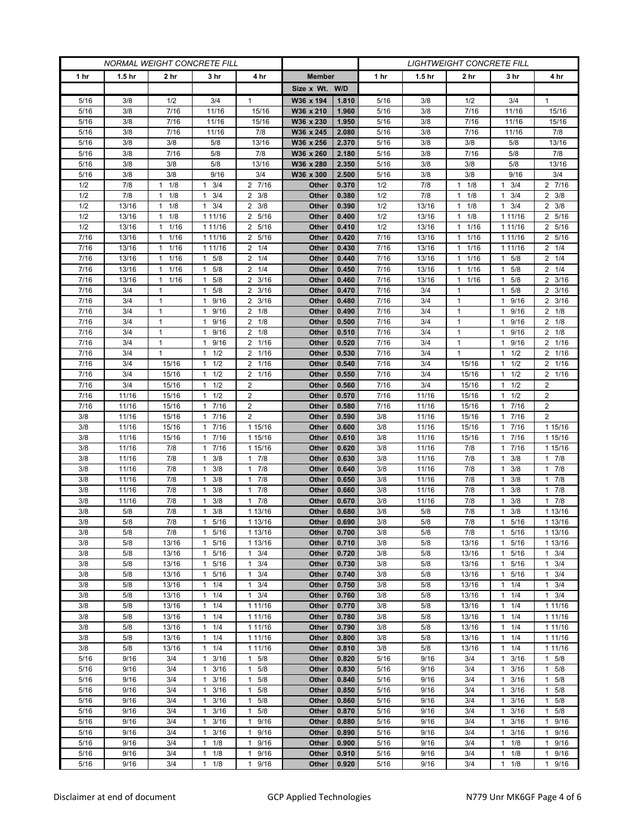| <b>NORMAL WEIGHT CONCRETE FILL</b> |                   |                              |                                 |                                              | <b>LIGHTWEIGHT CONCRETE FILL</b> |                |              |                   |                      |                                   |                               |
|------------------------------------|-------------------|------------------------------|---------------------------------|----------------------------------------------|----------------------------------|----------------|--------------|-------------------|----------------------|-----------------------------------|-------------------------------|
| 1 <sub>hr</sub>                    | 1.5 <sub>hr</sub> | 2 hr                         | 3 hr                            | 4 hr                                         | <b>Member</b>                    |                | 1 hr         | 1.5 <sub>hr</sub> | 2 hr                 | 3 hr                              | 4 hr                          |
|                                    |                   |                              |                                 |                                              | Size x Wt. W/D                   |                |              |                   |                      |                                   |                               |
| 5/16                               | 3/8               | 1/2                          | 3/4                             | $\mathbf{1}$                                 | W36 x 194                        | 1.810          | 5/16         | 3/8               | 1/2                  | 3/4                               | 1                             |
| 5/16                               | 3/8               | 7/16                         | 11/16                           | 15/16                                        | W36 x 210                        | 1.960          | 5/16         | 3/8               | 7/16                 | 11/16                             | 15/16                         |
| 5/16                               | 3/8               | 7/16                         | 11/16                           | 15/16                                        | W36 x 230                        | 1.950          | 5/16         | 3/8               | 7/16                 | 11/16                             | 15/16                         |
| 5/16                               | 3/8               | 7/16                         | 11/16                           | 7/8                                          | W36 x 245                        | 2.080          | 5/16         | 3/8               | 7/16                 | 11/16                             | 7/8                           |
| 5/16                               | 3/8               | 3/8                          | 5/8                             | 13/16                                        | W36 x 256                        | 2.370          | 5/16         | 3/8               | 3/8                  | 5/8                               | 13/16                         |
| 5/16                               | 3/8               | 7/16                         | 5/8                             | 7/8                                          | W36 x 260                        | 2.180          | 5/16         | 3/8               | 7/16                 | 5/8                               | 7/8                           |
| 5/16                               | 3/8               | 3/8                          | 5/8                             | 13/16                                        | W36 x 280                        | 2.350          | 5/16         | 3/8               | 3/8                  | 5/8                               | 13/16                         |
| 5/16                               | 3/8               | 3/8                          | 9/16                            | 3/4                                          | W36 x 300                        | 2.500          | 5/16         | 3/8               | 3/8                  | 9/16                              | 3/4                           |
| 1/2                                | 7/8               | 1/8<br>1                     | 3/4<br>1                        | 2 7/16                                       | Other                            | 0.370          | 1/2          | 7/8               | 1/8<br>$\mathbf{1}$  | 3/4                               | 2 7/16                        |
| 1/2                                | 7/8               | 1/8<br>1                     | 3/4<br>1                        | $2 \frac{3}{8}$                              | Other                            | 0.380          | 1/2          | 7/8               | 1/8<br>$\mathbf{1}$  | 3/4<br>1                          | $2 \frac{3}{8}$               |
| 1/2                                | 13/16             | 1/8<br>$\mathbf{1}$          | 3/4<br>$\mathbf{1}$             | 3/8<br>2                                     | Other                            | 0.390          | 1/2          | 13/16             | 1/8<br>$\mathbf{1}$  | 3/4<br>$\mathbf{1}$               | $2 \frac{3}{8}$               |
| 1/2                                | 13/16             | 1/8<br>1                     | 1 11/16                         | 5/16<br>2                                    | Other                            | 0.400          | 1/2          | 13/16             | 1/8<br>$\mathbf{1}$  | 1 1 1 / 1 6                       | 2 5/16                        |
| 1/2                                | 13/16             | 1/16<br>$\mathbf{1}$         | 1 11/16                         | 5/16<br>2                                    | Other                            | 0.410          | 1/2          | 13/16             | 1/16<br>$\mathbf{1}$ | 1 1 1 / 1 6                       | 2 5/16                        |
| 7/16                               | 13/16             | 1/16<br>$\mathbf{1}$         | 1 11/16                         | 5/16<br>$\overline{2}$                       | Other                            | 0.420          | 7/16         | 13/16             | 1/16<br>$\mathbf{1}$ | 1 1 1 / 16                        | 2 5/16                        |
| 7/16                               | 13/16             | 11/16                        | 1 11/16                         | $2 \t1/4$                                    | Other                            | 0.430          | 7/16         | 13/16             | 1/16<br>1            | 1 1 1 / 1 6                       | $2 \t1/4$                     |
| 7/16                               | 13/16             | $1 \t1/16$                   | $1 \t5/8$                       | $2 \t1/4$                                    | Other                            | 0.440          | 7/16         | 13/16             | 1/16<br>$\mathbf{1}$ | $1 \t5/8$                         | $2 \t1/4$                     |
| 7/16                               | 13/16             | 1<br>1/16                    | 5/8<br>$\mathbf{1}$             | $\overline{2}$<br>1/4                        | Other                            | 0.450          | 7/16         | 13/16             | 1/16<br>$\mathbf{1}$ | 5/8<br>1                          | $2 \t1/4$                     |
| 7/16                               | 13/16             | 1/16<br>$\mathbf{1}$         | 5/8<br>$\mathbf{1}$             | $2 \frac{3}{16}$                             | Other                            | 0.460          | 7/16         | 13/16             | 1/16<br>$\mathbf{1}$ | 5/8<br>1                          | $2 \frac{3}{16}$              |
| 7/16                               | 3/4               | $\mathbf{1}$<br>$\mathbf{1}$ | $1 \t5/8$<br>1                  | $2 \frac{3}{16}$                             | Other                            | 0.470          | 7/16         | 3/4               | 1<br>$\mathbf{1}$    | $1 \t5/8$                         | $2 \frac{3}{16}$              |
| 7/16<br>7/16                       | 3/4<br>3/4        | $\mathbf{1}$                 | 9/16<br>9/16<br>1               | 3/16<br>2<br>2<br>1/8                        | Other<br>Other                   | 0.480<br>0.490 | 7/16<br>7/16 | 3/4<br>3/4        | $\mathbf{1}$         | 9/16<br>9/16<br>1                 | $2 \frac{3}{16}$<br>$2 \t1/8$ |
| 7/16                               | 3/4               | $\mathbf{1}$                 | $\mathbf{1}$<br>9/16            | $2 \t1/8$                                    | <b>Other</b>                     | 0.500          | 7/16         | 3/4               | $\mathbf{1}$         | 9/16<br>1                         | $2 \t1/8$                     |
| 7/16                               | 3/4               | $\mathbf{1}$                 | 9/16<br>$\mathbf{1}$            | 1/8<br>2                                     | Other                            | 0.510          | 7/16         | 3/4               | $\mathbf{1}$         | 9/16<br>1                         | $2 \t1/8$                     |
| 7/16                               | 3/4               | $\mathbf{1}$                 | 9/16<br>$\mathbf{1}$            | 2 1/16                                       | Other                            | 0.520          | 7/16         | 3/4               | $\mathbf{1}$         | 9/16<br>1                         | 2 1/16                        |
| 7/16                               | 3/4               | $\mathbf{1}$                 | $1 \t1/2$                       | 2 1/16                                       | <b>Other</b>                     | 0.530          | 7/16         | 3/4               | $\mathbf{1}$         | $1 \t1/2$                         | 2 1/16                        |
| 7/16                               | 3/4               | 15/16                        | 1/2<br>1                        | 2<br>1/16                                    | Other                            | 0.540          | 7/16         | 3/4               | 15/16                | 1/2<br>1                          | 2 1/16                        |
| 7/16                               | 3/4               | 15/16                        | 1/2<br>1                        | 1/16<br>2                                    | Other                            | 0.550          | 7/16         | 3/4               | 15/16                | 1/2<br>1                          | 2 1/16                        |
| 7/16                               | 3/4               | 15/16                        | $1 \t1/2$                       | $\overline{2}$                               | <b>Other</b>                     | 0.560          | 7/16         | 3/4               | 15/16                | 1/2<br>1.                         | $\overline{2}$                |
| 7/16                               | 11/16             | 15/16                        | $1 \t1/2$                       | 2                                            | Other                            | 0.570          | 7/16         | 11/16             | 15/16                | 1/2<br>1                          | $\overline{2}$                |
| 7/16                               | 11/16             | 15/16                        | 7/16<br>1                       | 2                                            | Other                            | 0.580          | 7/16         | 11/16             | 15/16                | 7/16<br>$\mathbf{1}$              | $\overline{2}$                |
| 3/8                                | 11/16             | 15/16                        | 7/16<br>$\mathbf{1}$            | $\overline{2}$                               | Other                            | 0.590          | 3/8          | 11/16             | 15/16                | 7/16<br>1                         | $\overline{2}$                |
| 3/8                                | 11/16             | 15/16                        | 7/16<br>1                       | 1 15/16                                      | Other                            | 0.600          | 3/8          | 11/16             | 15/16                | 7/16<br>1                         | 1 15/16                       |
| 3/8                                | 11/16             | 15/16                        | 7/16<br>$\mathbf{1}$            | 1 15/16                                      | Other                            | 0.610          | 3/8          | 11/16             | 15/16                | 7/16<br>$\mathbf{1}$              | 1 15/16                       |
| 3/8                                | 11/16             | 7/8                          | 17/16                           | 1 15/16                                      | Other                            | 0.620          | 3/8          | 11/16             | 7/8                  | 7/16                              | 1 15/16                       |
| 3/8                                | 11/16             | 7/8                          | 3/8<br>1                        | 7/8<br>$\mathbf{1}$                          | Other                            | 0.630          | 3/8          | 11/16             | 7/8                  | 3/8<br>1                          | 17/8                          |
| 3/8                                | 11/16             | 7/8                          | 3/8<br>$\mathbf{1}$             | 7/8<br>$\mathbf{1}$                          | Other                            | 0.640          | 3/8          | 11/16             | 7/8                  | 3/8<br>1                          | 17/8                          |
| 3/8                                | 11/16             | 7/8                          | 3/8<br>1                        | 7/8<br>$\mathbf{1}$                          | Other                            | 0.650          | 3/8          | 11/16             | 7/8                  | 3/8<br>1                          | 17/8                          |
| 3/8                                | 11/16             | 7/8                          | 3/8<br>1                        | 7/8<br>1                                     | Other                            | 0.660          | 3/8          | 11/16             | 7/8                  | 3/8<br>1                          | 17/8                          |
| 3/8                                | 11/16             | 7/8                          | 3/8<br>1                        | 7/8<br>$\mathbf{1}$                          | Other                            | 0.670          | 3/8          | 11/16             | 7/8                  | 3/8<br>1                          | 17/8                          |
| 3/8                                | 5/8               | 7/8                          | 3/8<br>1                        | 1 13/16                                      | Other                            | 0.680          | 3/8          | 5/8               | 7/8                  | 3/8<br>1                          | 1 13/16                       |
| 3/8                                | 5/8               | 7/8                          | 5/16<br>1                       | 1 13/16                                      | Other<br>Other                   | 0.690<br>0.700 | 3/8<br>3/8   | 5/8               | 7/8                  | 5/16<br>1                         | 1 13/16                       |
| 3/8<br>3/8                         | 5/8<br>5/8        | 7/8<br>13/16                 | 1 5/16<br>1 5/16                | 1 13/16<br>1 13/16                           | Other                            | 0.710          | 3/8          | 5/8<br>5/8        | 7/8<br>13/16         | 5/16<br>$\mathbf{1}$<br>5/16<br>1 | 1 13/16<br>1 13/16            |
| 3/8                                | 5/8               | 13/16                        | 1 5/16                          | 3/4<br>$\mathbf{1}$                          | Other                            | 0.720          | 3/8          | 5/8               | 13/16                | 1 5/16                            | $1 \t3/4$                     |
| 3/8                                | 5/8               | 13/16                        | 5/16<br>1                       | 3/4<br>$\mathbf{1}$                          | Other                            | 0.730          | 3/8          | 5/8               | 13/16                | 5/16<br>1                         | $1 \t3/4$                     |
| 3/8                                | 5/8               | 13/16                        | 1 5/16                          | 3/4<br>$\mathbf{1}$                          | Other                            | 0.740          | 3/8          | 5/8               | 13/16                | 5/16<br>$\mathbf{1}$              | $1 \t3/4$                     |
| 3/8                                | 5/8               | 13/16                        | $1 \t1/4$                       | 3/4<br>1                                     | Other                            | 0.750          | 3/8          | 5/8               | 13/16                | $1 \t1/4$                         | $1 \t3/4$                     |
| 3/8                                | 5/8               | 13/16                        | $1 \t1/4$                       | 3/4<br>$\mathbf{1}$                          | Other                            | 0.760          | 3/8          | 5/8               | 13/16                | 1/4<br>1                          | $1 \t3/4$                     |
| 3/8                                | 5/8               | 13/16                        | $1 \t1/4$                       | 1 11/16                                      | Other                            | 0.770          | 3/8          | 5/8               | 13/16                | 1/4<br>$\mathbf{1}$               | 1 11/16                       |
| 3/8                                | 5/8               | 13/16                        | $1 \t1/4$                       | 1 1 1 / 16                                   | Other                            | 0.780          | 3/8          | 5/8               | 13/16                | $1 \t1/4$                         | 1 11/16                       |
| 3/8                                | 5/8               | 13/16                        | $1 \t1/4$                       | 1 1 1/16                                     | Other                            | 0.790          | 3/8          | 5/8               | 13/16                | $1 \t1/4$                         | 1 11/16                       |
| 3/8                                | 5/8               | 13/16                        | $1 \t1/4$                       | 1 1 1 / 16                                   | Other                            | 0.800          | 3/8          | 5/8               | 13/16                | 1/4<br>$\mathbf{1}$               | 1 11/16                       |
| 3/8                                | 5/8               | 13/16                        | $1 \t1/4$                       | 1 1 1 / 16                                   | Other                            | 0.810          | 3/8          | 5/8               | 13/16                | 1/4<br>1                          | 1 11/16                       |
| 5/16                               | 9/16              | 3/4                          | $1 \t3/16$                      | 5/8<br>$\mathbf{1}$                          | Other                            | 0.820          | 5/16         | 9/16              | 3/4                  | 3/16<br>1                         | $1 \t5/8$                     |
| 5/16                               | 9/16              | 3/4                          | 3/16<br>1                       | 5/8<br>1                                     | Other                            | 0.830          | 5/16         | 9/16              | 3/4                  | 3/16<br>1                         | 1 5/8                         |
| 5/16                               | 9/16              | 3/4                          | $\mathbf{1}$<br>3/16            | 5/8<br>1                                     | Other                            | 0.840          | 5/16         | 9/16              | 3/4                  | 3/16                              | 1 5/8                         |
| 5/16                               | 9/16              | 3/4                          | 3/16<br>1                       | 5/8<br>1                                     | Other                            | 0.850          | 5/16         | 9/16              | 3/4                  | 3/16<br>1                         | $1 \t5/8$                     |
| 5/16                               | 9/16              | 3/4                          | 3/16<br>$\mathbf{1}$            | $\mathbf{1}$<br>5/8                          | Other                            | 0.860          | 5/16         | 9/16              | 3/4                  | 3/16<br>1                         | 1 5/8                         |
| 5/16                               | 9/16              | 3/4                          | 1<br>3/16                       | 5/8<br>1                                     | Other                            | 0.870          | 5/16         | 9/16              | 3/4                  | 3/16                              | 1 5/8                         |
| 5/16                               | 9/16              | 3/4                          | 3/16<br>$\mathbf{1}$            | 9/16<br>$\mathbf{1}$                         | Other                            | 0.880          | 5/16         | 9/16              | 3/4                  | 3/16<br>1                         | 1 9/16                        |
| 5/16                               | 9/16              | 3/4                          | 3/16<br>$\mathbf{1}$            | 9/16<br>$\mathbf{1}$                         | <b>Other</b>                     | 0.890          | 5/16         | 9/16              | 3/4                  | 3/16<br>1                         | 1 9/16                        |
| 5/16                               | 9/16              | 3/4                          | 1<br>1/8                        | 9/16<br>$\mathbf{1}$                         | Other                            | 0.900          | 5/16         | 9/16              | 3/4                  | 1/8<br>1                          | $\mathbf{1}$<br>9/16          |
| 5/16<br>$5/16$                     | 9/16<br>9/16      | 3/4<br>3/4                   | 1/8<br>1<br>1/8<br>$\mathbf{1}$ | 9/16<br>$\mathbf{1}$<br>9/16<br>$\mathbf{1}$ | Other<br>Other                   | 0.910<br>0.920 | 5/16<br>5/16 | 9/16<br>9/16      | 3/4<br>3/4           | 1/8<br>1<br>1/8<br>$\mathbf{1}$   | 1 9/16<br>1 9/16              |
|                                    |                   |                              |                                 |                                              |                                  |                |              |                   |                      |                                   |                               |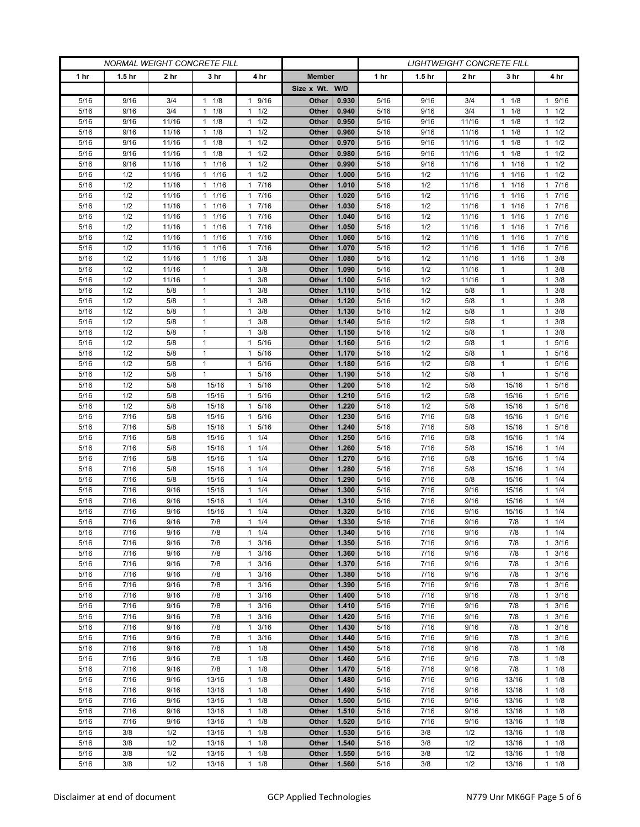| <b>NORMAL WEIGHT CONCRETE FILL</b> |                   |                |                           |                                              |                |                |              | <i>LIGHTWEIGHT CONCRETE FILL</i> |                |                        |                                    |
|------------------------------------|-------------------|----------------|---------------------------|----------------------------------------------|----------------|----------------|--------------|----------------------------------|----------------|------------------------|------------------------------------|
| 1 <sub>hr</sub>                    | 1.5 <sub>hr</sub> | 2 hr           | 3 hr                      | 4 hr                                         | <b>Member</b>  |                | 1 hr         | 1.5 <sub>hr</sub>                | 2 hr           | 3 hr                   | 4 hr                               |
|                                    |                   |                |                           |                                              | Size x Wt. W/D |                |              |                                  |                |                        |                                    |
| 5/16                               | 9/16              | 3/4            | 1/8<br>1                  | 9/16<br>1                                    | Other          | 0.930          | 5/16         | 9/16                             | 3/4            | 1/8<br>1               | 1 9/16                             |
| 5/16                               | 9/16              | 3/4            | 1/8<br>1                  | 1/2<br>$\mathbf{1}$                          | Other          | 0.940          | 5/16         | 9/16                             | 3/4            | 1/8<br>1               | $1 \t1/2$                          |
| 5/16                               | 9/16              | 11/16          | $1 \t1/8$                 | 1/2<br>$\mathbf{1}$                          | Other          | 0.950          | 5/16         | 9/16                             | 11/16          | 1/8<br>$\mathbf{1}$    | $1 \t1/2$                          |
| 5/16                               | 9/16              | 11/16          | 1/8<br>1                  | 1/2<br>$\mathbf{1}$                          | Other          | 0.960          | 5/16         | 9/16                             | 11/16          | 1/8<br>1               | $1 \t1/2$                          |
| 5/16                               | 9/16              | 11/16          | 1/8<br>1                  | 1/2<br>$\mathbf{1}$                          | Other          | 0.970          | 5/16         | 9/16                             | 11/16          | 1/8<br>1               | $1 \t1/2$                          |
| 5/16                               | 9/16              | 11/16          | $1 \t1/8$                 | 1/2<br>$\mathbf{1}$                          | Other          | 0.980          | 5/16         | 9/16                             | 11/16          | 1/8<br>1.              | $1 \t1/2$                          |
| 5/16                               | 9/16              | 11/16          | 1/16<br>1                 | 1/2<br>1                                     | Other          | 0.990          | 5/16         | 9/16                             | 11/16          | 1/16<br>1              | $1 \t1/2$                          |
| 5/16                               | 1/2               | 11/16          | 1/16<br>1                 | 1/2<br>1                                     | Other          | 1.000          | 5/16         | 1/2                              | 11/16          | 1/16<br>1              | $1 \t1/2$                          |
| 5/16                               | 1/2               | 11/16          | 1/16<br>$\mathbf{1}$      | 7/16<br>$\mathbf{1}$                         | Other          | 1.010          | 5/16         | 1/2                              | 11/16          | 1/16                   | 17/16                              |
| 5/16                               | 1/2               | 11/16          | 1/16<br>1                 | 7/16<br>$\mathbf{1}$                         | Other          | 1.020          | 5/16         | 1/2                              | 11/16          | 1/16<br>1              | 17/16                              |
| 5/16                               | 1/2               | 11/16          | 1/16<br>1                 | 7/16<br>$\mathbf{1}$                         | Other          | 1.030          | 5/16         | 1/2                              | 11/16          | 1/16<br>1              | 17/16                              |
| 5/16<br>5/16                       | 1/2<br>1/2        | 11/16          | 1/16<br>1<br>1/16         | 7/16<br>$\mathbf{1}$<br>7/16<br>$\mathbf{1}$ | Other          | 1.040          | 5/16         | 1/2                              | 11/16          | 1/16                   | 17/16<br>7/16                      |
| 5/16                               | 1/2               | 11/16<br>11/16 | 1<br>1/16<br>$\mathbf{1}$ | 7/16<br>$\mathbf{1}$                         | Other<br>Other | 1.050<br>1.060 | 5/16<br>5/16 | 1/2<br>1/2                       | 11/16<br>11/16 | 1/16<br>1<br>1/16<br>1 | 1.<br>17/16                        |
| 5/16                               | 1/2               | 11/16          | 1/16<br>$\mathbf{1}$      | 7/16<br>$\mathbf{1}$                         | Other          | 1.070          | 5/16         | 1/2                              | 11/16          | 1/16<br>1              | 17/16                              |
| 5/16                               | 1/2               | 11/16          | 1/16<br>$\mathbf{1}$      | 3/8<br>1                                     | Other          | 1.080          | 5/16         | 1/2                              | 11/16          | 1/16<br>1              | 3/8<br>$\mathbf{1}$                |
| 5/16                               | 1/2               | 11/16          | $\mathbf{1}$              | 3/8<br>$\mathbf{1}$                          | Other          | 1.090          | 5/16         | 1/2                              | 11/16          | $\mathbf{1}$           | $1 \t3/8$                          |
| 5/16                               | 1/2               | 11/16          | 1                         | 3/8<br>$\mathbf{1}$                          | Other          | 1.100          | 5/16         | 1/2                              | 11/16          | 1                      | $1 \t3/8$                          |
| 5/16                               | 1/2               | 5/8            | 1                         | 3/8<br>1                                     | Other          | 1.110          | 5/16         | 1/2                              | 5/8            | 1                      | $1 \t3/8$                          |
| 5/16                               | 1/2               | 5/8            | $\mathbf{1}$              | 3/8<br>1                                     | Other          | 1.120          | 5/16         | 1/2                              | 5/8            | 1                      | 3/8<br>$\mathbf{1}$                |
| 5/16                               | 1/2               | 5/8            | 1                         | 3/8<br>$\mathbf{1}$                          | Other          | 1.130          | 5/16         | 1/2                              | 5/8            | 1                      | $1 \t3/8$                          |
| 5/16                               | 1/2               | 5/8            | 1                         | 3/8<br>1                                     | Other          | 1.140          | 5/16         | 1/2                              | 5/8            | 1                      | $1 \t3/8$                          |
| 5/16                               | 1/2               | 5/8            | 1                         | 3/8<br>1                                     | Other          | 1.150          | 5/16         | 1/2                              | 5/8            | 1                      | 3/8<br>1                           |
| 5/16                               | 1/2               | 5/8            | $\mathbf{1}$              | $\mathbf{1}$<br>5/16                         | Other          | 1.160          | 5/16         | 1/2                              | 5/8            | $\mathbf{1}$           | 1 5/16                             |
| 5/16                               | 1/2               | 5/8            | 1                         | 5/16<br>1                                    | Other          | 1.170          | 5/16         | 1/2                              | 5/8            | 1                      | 1 5/16                             |
| 5/16                               | 1/2               | 5/8            | $\mathbf{1}$              | 5/16<br>1                                    | Other          | 1.180          | 5/16         | 1/2                              | 5/8            | 1                      | 5/16<br>$\mathbf{1}$               |
| 5/16                               | 1/2               | 5/8            | $\mathbf{1}$              | 5/16<br>$\mathbf{1}$                         | Other          | 1.190          | 5/16         | 1/2                              | 5/8            | $\mathbf{1}$           | 1 5/16                             |
| 5/16                               | 1/2               | 5/8            | 15/16                     | 5/16<br>1                                    | Other          | 1.200          | 5/16         | 1/2                              | 5/8            | 15/16                  | 1 5/16                             |
| 5/16                               | 1/2               | 5/8            | 15/16                     | 5/16<br>1                                    | Other          | 1.210          | 5/16         | 1/2                              | 5/8            | 15/16                  | 5/16<br>1.                         |
| 5/16                               | 1/2               | 5/8            | 15/16                     | 5/16<br>$\mathbf{1}$                         | <b>Other</b>   | 1.220          | 5/16         | 1/2                              | 5/8            | 15/16                  | 5/16<br>$\mathbf{1}$               |
| 5/16<br>5/16                       | 7/16<br>7/16      | 5/8<br>5/8     | 15/16<br>15/16            | 5/16<br>1<br>5/16<br>1                       | Other<br>Other | 1.230<br>1.240 | 5/16<br>5/16 | 7/16<br>7/16                     | 5/8<br>5/8     | 15/16<br>15/16         | 5/16<br>$\mathbf{1}$<br>5/16<br>1. |
| 5/16                               | 7/16              | 5/8            | 15/16                     | 1/4<br>1                                     | Other          | 1.250          | 5/16         | 7/16                             | 5/8            | 15/16                  | $1 \t1/4$                          |
| 5/16                               | 7/16              | 5/8            | 15/16                     | 1/4<br>1                                     | Other          | 1.260          | 5/16         | 7/16                             | 5/8            | 15/16                  | 11/4                               |
| 5/16                               | 7/16              | 5/8            | 15/16                     | 1/4<br>$\mathbf{1}$                          | Other          | 1.270          | 5/16         | 7/16                             | 5/8            | 15/16                  | $1 \t1/4$                          |
| 5/16                               | 7/16              | 5/8            | 15/16                     | 1/4<br>$\mathbf{1}$                          | Other          | 1.280          | 5/16         | 7/16                             | 5/8            | 15/16                  | 11/4                               |
| 5/16                               | 7/16              | 5/8            | 15/16                     | 1/4<br>1                                     | Other          | 1.290          | 5/16         | 7/16                             | 5/8            | 15/16                  | $1 \t1/4$                          |
| 5/16                               | 7/16              | 9/16           | 15/16                     | 1/4<br>$\mathbf{1}$                          | Other          | 1.300          | 5/16         | 7/16                             | 9/16           | 15/16                  | 1/4<br>1                           |
| 5/16                               | 7/16              | 9/16           | 15/16                     | 1/4<br>$\mathbf{1}$                          | Other          | 1.310          | 5/16         | 7/16                             | 9/16           | 15/16                  | 11/4                               |
| 5/16                               | 7/16              | 9/16           | 15/16                     | 1/4<br>1                                     | Other          | 1.320          | 5/16         | 7/16                             | 9/16           | 15/16                  | $1 \t1/4$                          |
| 5/16                               | 7/16              | 9/16           | $7/8$                     | 1/4<br>$\mathbf{1}$                          | Other          | 1.330          | 5/16         | 7/16                             | 9/16           | 7/8                    | $1 \t1/4$                          |
| 5/16                               | 7/16              | 9/16           | 7/8                       | 1/4<br>$\mathbf{1}$                          | Other          | 1.340          | 5/16         | 7/16                             | 9/16           | 7/8                    | $1 \t1/4$                          |
| 5/16                               | 7/16              | 9/16           | 7/8                       | 3/16<br>$\mathbf{1}$                         | Other          | 1.350          | 5/16         | 7/16                             | 9/16           | 7/8                    | $1 \t3/16$                         |
| 5/16                               | 7/16              | 9/16           | 7/8                       | 3/16<br>1                                    | Other          | 1.360          | 5/16         | 7/16                             | 9/16           | 7/8                    | $1 \t3/16$                         |
| 5/16                               | 7/16              | 9/16           | 7/8                       | 3/16<br>1                                    | Other          | 1.370          | 5/16         | 7/16                             | 9/16           | 7/8                    | 3/16<br>$\mathbf{1}$               |
| 5/16                               | 7/16              | 9/16           | 7/8                       | 3/16<br>$\mathbf{1}$                         | Other          | 1.380          | 5/16         | 7/16                             | 9/16           | 7/8                    | $1 \t3/16$                         |
| 5/16                               | 7/16              | 9/16           | 7/8                       | 3/16<br>1                                    | Other          | 1.390          | 5/16         | 7/16                             | 9/16           | 7/8                    | $1 \t3/16$                         |
| 5/16<br>5/16                       | 7/16<br>7/16      | 9/16<br>9/16   | 7/8<br>7/8                | 3/16<br>1<br>3/16<br>$\mathbf{1}$            | Other<br>Other | 1.400<br>1.410 | 5/16         | 7/16<br>7/16                     | 9/16<br>9/16   | 7/8<br>7/8             | 3/16<br>$\mathbf{1}$<br>$1 \t3/16$ |
| 5/16                               | 7/16              | 9/16           | 7/8                       | 3/16<br>1                                    | Other          | 1.420          | 5/16<br>5/16 | 7/16                             | 9/16           | 7/8                    | $1 \t3/16$                         |
| 5/16                               | 7/16              | 9/16           | 7/8                       | 3/16<br>1                                    | Other          | 1.430          | 5/16         | 7/16                             | 9/16           | 7/8                    | 3/16<br>$\mathbf{1}$               |
| 5/16                               | 7/16              | 9/16           | 7/8                       | 3/16<br>$\mathbf{1}$                         | Other          | 1.440          | 5/16         | 7/16                             | 9/16           | 7/8                    | 3/16<br>$\mathbf{1}$               |
| 5/16                               | 7/16              | 9/16           | 7/8                       | 1/8<br>1                                     | Other          | 1.450          | 5/16         | 7/16                             | 9/16           | 7/8                    | $1 \t1/8$                          |
| 5/16                               | 7/16              | 9/16           | 7/8                       | 1/8<br>1                                     | Other          | 1.460          | 5/16         | 7/16                             | 9/16           | 7/8                    | $1 \t1/8$                          |
| 5/16                               | 7/16              | 9/16           | 7/8                       | $\mathbf{1}$<br>1/8                          | Other          | 1.470          | 5/16         | 7/16                             | 9/16           | 7/8                    | $1 \t1/8$                          |
| 5/16                               | 7/16              | 9/16           | 13/16                     | $\mathbf{1}$<br>1/8                          | Other          | 1.480          | 5/16         | 7/16                             | 9/16           | 13/16                  | $1 \t1/8$                          |
| 5/16                               | 7/16              | 9/16           | 13/16                     | 1/8<br>1                                     | Other          | 1.490          | 5/16         | 7/16                             | 9/16           | 13/16                  | $1 \t1/8$                          |
| 5/16                               | 7/16              | 9/16           | 13/16                     | 1/8<br>$\mathbf{1}$                          | Other          | 1.500          | 5/16         | 7/16                             | 9/16           | 13/16                  | $1 \t1/8$                          |
| 5/16                               | 7/16              | 9/16           | 13/16                     | 1/8<br>$\mathbf{1}$                          | Other          | 1.510          | 5/16         | 7/16                             | 9/16           | 13/16                  | $1 \t1/8$                          |
| 5/16                               | 7/16              | 9/16           | 13/16                     | 1/8<br>$\mathbf{1}$                          | Other          | 1.520          | 5/16         | 7/16                             | 9/16           | 13/16                  | $1 \t1/8$                          |
| 5/16                               | 3/8               | 1/2            | 13/16                     | 1/8<br>$\mathbf{1}$                          | Other          | 1.530          | 5/16         | 3/8                              | 1/2            | 13/16                  | $1 \t1/8$                          |
| 5/16                               | 3/8               | 1/2            | 13/16                     | 1/8<br>1                                     | Other          | 1.540          | 5/16         | 3/8                              | 1/2            | 13/16                  | $1 \t1/8$                          |
| 5/16                               | 3/8               | 1/2            | 13/16                     | 1/8<br>1                                     | Other          | 1.550          | 5/16         | 3/8                              | 1/2            | 13/16                  | $1 \t1/8$                          |
| 5/16                               | 3/8               | 1/2            | 13/16                     | $\mathbf{1}$<br>1/8                          | Other          | 1.560          | 5/16         | 3/8                              | 1/2            | 13/16                  | $1 \t1/8$                          |